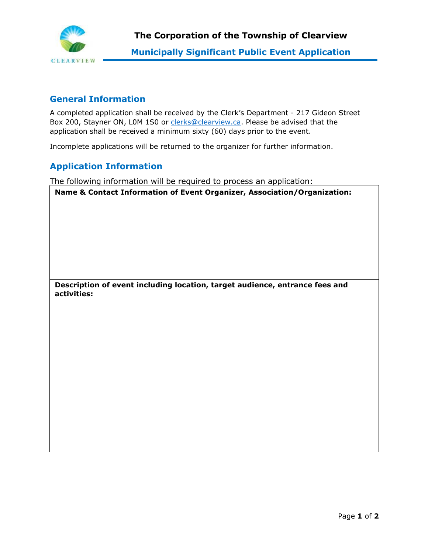

## **General Information**

A completed application shall be received by the Clerk's Department - 217 Gideon Street Box 200, Stayner ON, LOM 1S0 or [clerks@clearview.ca.](mailto:clerks@clearview.ca) Please be advised that the application shall be received a minimum sixty (60) days prior to the event.

Incomplete applications will be returned to the organizer for further information.

## **Application Information**

The following information will be required to process an application:

**Name & Contact Information of Event Organizer, Association/Organization:**

**Description of event including location, target audience, entrance fees and activities:**